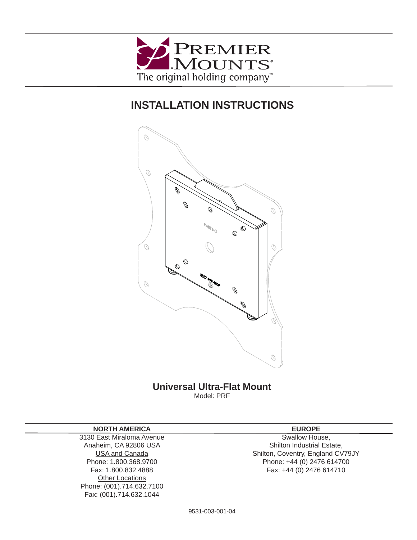

# **INSTALLATION INSTRUCTIONS**



# **Universal Ultra-Flat Mount** Model: PRF

#### **NORTH AMERICA**

3130 East Miraloma Avenue Anaheim, CA 92806 USA USA and Canada Phone: 1.800.368.9700 Fax: 1.800.832.4888 **Other Locations** Phone: (001).714.632.7100 Fax: (001).714.632.1044

### **EUROPE**

Swallow House, Shilton Industrial Estate, Shilton, Coventry, England CV79JY Phone: +44 (0) 2476 614700 Fax: +44 (0) 2476 614710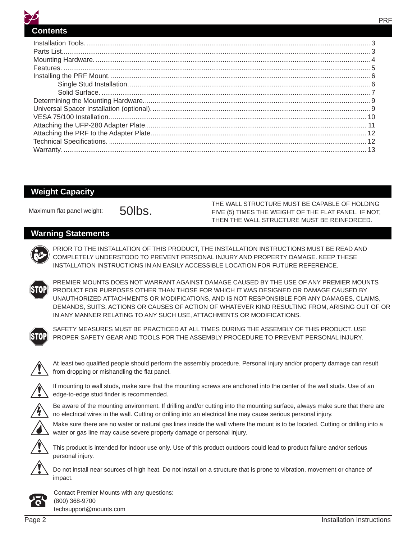

#### **Weight Capacity**

THE WALL STRUCTURE MUST BE CAPABLE OF HOLDING<br>FIVE (5) TIMES THE WEIGHT OF THE FLAT PANEL. IF NOT, THEN THE WALL STRUCTURE MUST BE REINFORCED.

#### **Warning Statements**



PRIOR TO THE INSTALLATION OF THIS PRODUCT, THE INSTALLATION INSTRUCTIONS MUST BE READ AND COMPLETELY UNDERSTOOD TO PREVENT PERSONAL INJURY AND PROPERTY DAMAGE. KEEP THESE INSTALLATION INSTRUCTIONS IN AN EASILY ACCESSIBLE LOCATION FOR FUTURE REFERENCE.



PREMIER MOUNTS DOES NOT WARRANT AGAINST DAMAGE CAUSED BY THE USE OF ANY PREMIER MOUNTS PRODUCT FOR PURPOSES OTHER THAN THOSE FOR WHICH IT WAS DESIGNED OR DAMAGE CAUSED BY UNAUTHORIZED ATTACHMENTS OR MODIFICATIONS, AND IS NOT RESPONSIBLE FOR ANY DAMAGES, CLAIMS, DEMANDS, SUITS, ACTIONS OR CAUSES OF ACTION OF WHATEVER KIND RESULTING FROM, ARISING OUT OF OR IN ANY MANNER RELATING TO ANY SUCH USE, ATTACHMENTS OR MODIFICATIONS.



SAFETY MEASURES MUST BE PRACTICED AT ALL TIMES DURING THE ASSEMBLY OF THIS PRODUCT. USE PROPER SAFETY GEAR AND TOOLS FOR THE ASSEMBLY PROCEDURE TO PREVENT PERSONAL INJURY.



At least two qualified people should perform the assembly procedure. Personal injury and/or property damage can result from dropping or mishandling the flat panel.



If mounting to wall studs, make sure that the mounting screws are anchored into the center of the wall studs. Use of an edge-to-edge stud finder is recommended.

Be aware of the mounting environment. If drilling and/or cutting into the mounting surface, always make sure that there are no electrical wires in the wall. Cutting or drilling into an electrical line may cause serious personal injury.

Make sure there are no water or natural gas lines inside the wall where the mount is to be located. Cutting or drilling into a water or gas line may cause severe property damage or personal injury.



This product is intended for indoor use only. Use of this product outdoors could lead to product failure and/or serious personal injury.

Do not install near sources of high heat. Do not install on a structure that is prone to vibration, movement or chance of impact.



Contact Premier Mounts with any questions: (800) 368-9700 techsupport@mounts.com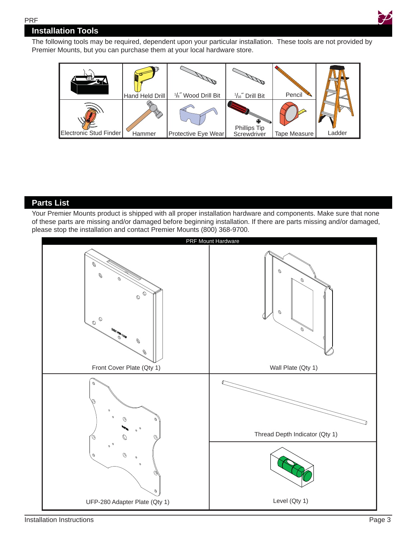

# **Installation Tools**

The following tools may be required, dependent upon your particular installation. These tools are not provided by Premier Mounts, but you can purchase them at your local hardware store.



# **Parts List**

Your Premier Mounts product is shipped with all proper installation hardware and components. Make sure that none of these parts are missing and/or damaged before beginning installation. If there are parts missing and/or damaged, please stop the installation and contact Premier Mounts (800) 368-9700.

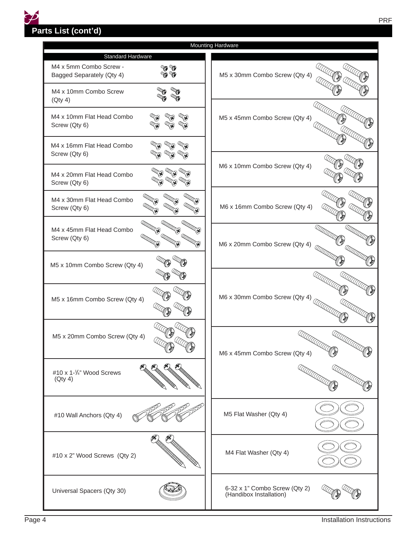**Parts List (cont'd)**

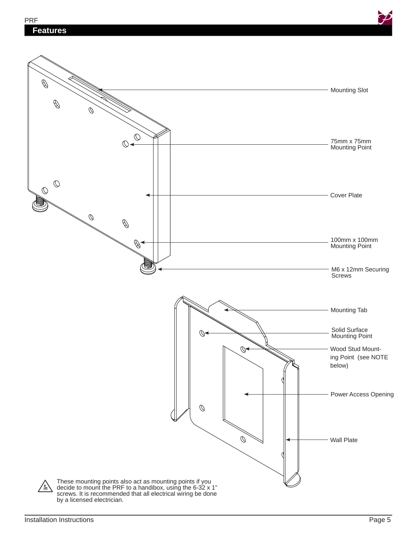

These mounting points also act as mounting points if you decide to mount the PRF to a handibox, using the 6-32 x 1" screws. It is recommended that all electrical wiring be done by a licensed electrician.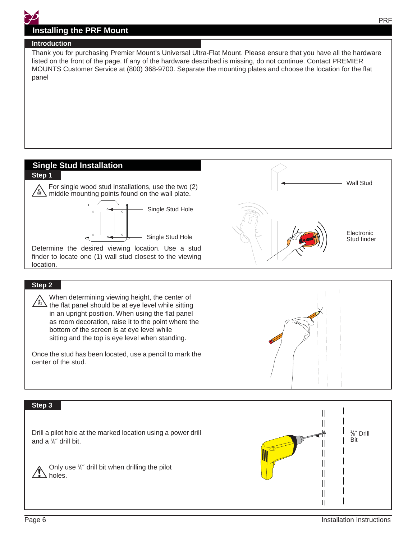# **Installing the PRF Mount**

#### **Introduction**

Thank you for purchasing Premier Mount's Universal Ultra-Flat Mount. Please ensure that you have all the hardware listed on the front of the page. If any of the hardware described is missing, do not continue. Contact PREMIER MOUNTS Customer Service at (800) 368-9700. Separate the mounting plates and choose the location for the flat panel

# **Single Stud Installation**



#### **Step 2**

 When determining viewing height, the center of  $\angle$  the flat panel should be at eye level while sitting in an upright position. When using the flat panel as room decoration, raise it to the point where the bottom of the screen is at eye level while sitting and the top is eye level when standing.

Once the stud has been located, use a pencil to mark the center of the stud.

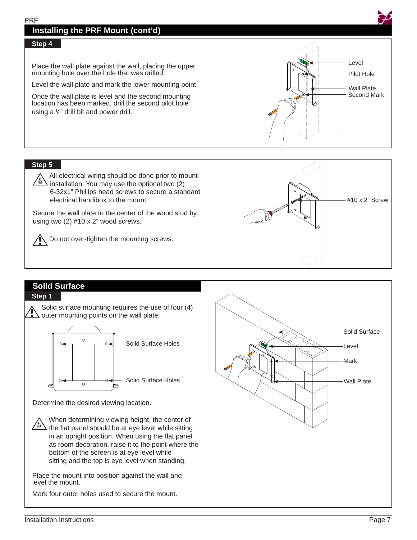# **Installing the PRF Mount (cont'd)**

#### **Step 4**

Place the wall plate against the wall, placing the upper mounting hole over the hole that was drilled.

Level the wall plate and mark the lower mounting point.

Once the wall plate is level and the second mounting location has been marked, drill the second pilot hole using a 1/<sub>8</sub>" drill bit and power drill.



#### **Step 5**

 All electrical wiring should be done prior to mount installation. You may use the optional two (2) 6-32x1" Phillips head screws to secure a standard electrical handibox to the mount.

Secure the wall plate to the center of the wood stud by using two (2) #10 x 2" wood screws.

**Do not over-tighten the mounting screws.** 



#### **Solid Surface Step 1**





Determine the desired viewing location.

 When determining viewing height, the center of  $\angle \mathbb{R}$  the flat panel should be at eye level while sitting in an upright position. When using the flat panel as room decoration, raise it to the point where the bottom of the screen is at eye level while sitting and the top is eye level when standing.

Place the mount into position against the wall and level the mount.

Mark four outer holes used to secure the mount.

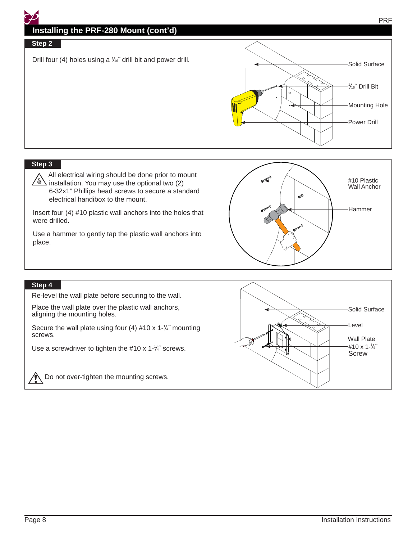# **Installing the PRF-280 Mount (cont'd)**

#### Step 2

Drill four (4) holes using a  $\frac{1}{16}$  drill bit and power drill.



#### **Step 3**

 All electrical wiring should be done prior to mount  $\sqrt{\frac{k}{m}}$  installation. You may use the optional two (2) 6-32x1" Phillips head screws to secure a standard electrical handibox to the mount.

Insert four (4) #10 plastic wall anchors into the holes that were drilled.

Use a hammer to gently tap the plastic wall anchors into place.



#### **Step 4**

Re-level the wall plate before securing to the wall.

Place the wall plate over the plastic wall anchors, aligning the mounting holes.

Secure the wall plate using four  $(4)$  #10 x 1- $\frac{1}{4}$  mounting screws.

Use a screwdriver to tighten the  $#10 \times 1^{-1}/4$  screws.



**IN** Do not over-tighten the mounting screws.

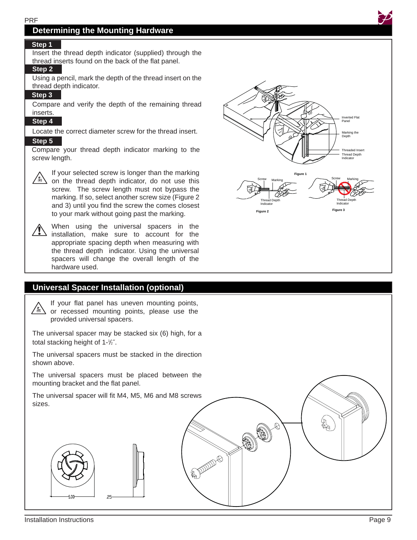# **Determining the Mounting Hardware**

#### **Step 1**

Insert the thread depth indicator (supplied) through the thread inserts found on the back of the flat panel.

#### **Step 2**

Using a pencil, mark the depth of the thread insert on the thread depth indicator.

#### **Step 3**

Compare and verify the depth of the remaining thread inserts.

#### **Step 4**

Locate the correct diameter screw for the thread insert.

#### **Step 5**

Compare your thread depth indicator marking to the screw length.



If your selected screw is longer than the marking  $\sqrt{m}$  on the thread depth indicator, do not use this screw. The screw length must not bypass the marking. If so, select another screw size (Figure 2 and 3) until you find the screw the comes closest to your mark without going past the marking.



When using the universal spacers in the  $\sqrt{\phantom{a}}$  installation, make sure to account for the appropriate spacing depth when measuring with the thread depth indicator. Using the universal spacers will change the overall length of the hardware used.

## **Universal Spacer Installation (optional)**

If your flat panel has uneven mounting points, provided universal spacers.

The universal spacer may be stacked six (6) high, for a total stacking height of 1-1/2".

The universal spacers must be stacked in the direction shown above.

The universal spacers must be placed between the mounting bracket and the flat panel.

The universal spacer will fit M4, M5, M6 and M8 screws sizes.



**Figure 1 Figure 2 Figure 3** Screw Marking Screw Marking Thread Depth Indicator



Inverted Flat Panel Marking the Depth

**Threaded Inser** Thread Depth Indicator

Thread Depth Indicator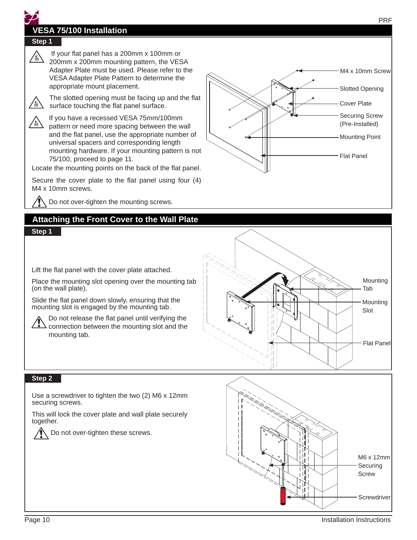# **VESA 75/100 Installation**

# **Step 1**

If your flat panel has a 200mm x 100mm or<br>200mm x 200mm mounting pattern, the VES 200mm x 200mm mounting pattern, the VESA Adapter Plate must be used. Please refer to the VESA Adapter Plate Pattern to determine the appropriate mount placement.



The slotted opening must be facing up and the flat  $\sum_{n=1}^{\infty}$  surface touching the flat panel surface surface touching the flat panel surface.

If you have a recessed VESA 75mm/100mm pattern or need more spacing between the wall and the flat panel, use the appropriate number of universal spacers and corresponding length mounting hardware. If your mounting pattern is not 75/100, proceed to page 11.

Locate the mounting points on the back of the flat panel.

Secure the cover plate to the flat panel using four  $(4)$ M4 x 10mm screws.

Do not over-tighten the mounting screws.

# **Attaching the Front Cover to the Wall Plate**

#### **Step 1**

Lift the flat panel with the cover plate attached.

Place the mounting slot opening over the mounting tab (on the wall plate).

Slide the flat panel down slowly, ensuring that the mounting slot is engaged by the mounting tab.

Do not release the flat panel until verifying the connection between the mounting slot and the mounting tab.



#### **Step 2**

Use a screwdriver to tighten the two (2) M6 x 12mm securing screws.

This will lock the cover plate and wall plate securely together.



Do not over-tighten these screws.



Cover Plate

Flat Panel

Securing Screw (Pre-Installed) Mounting Point

Slotted Opening

M4 x 10mm Screw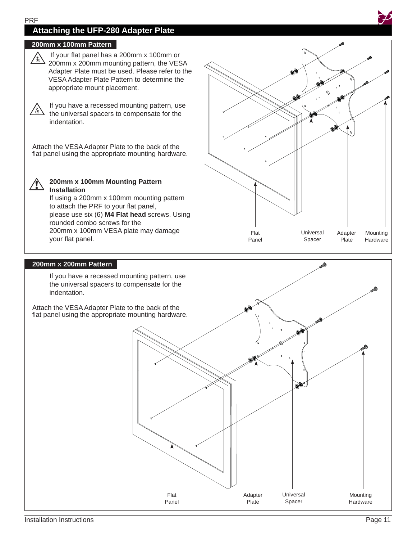# **Attaching the UFP-280 Adapter Plate**

#### **200mm x 100mm Pattern**



If your flat panel has a 200mm x 100mm or 200mm x 200mm mounting pattern, the VESA Adapter Plate must be used. Please refer to the VESA Adapter Plate Pattern to determine the appropriate mount placement.



If you have a recessed mounting pattern, use the universal spacers to compensate for the indentation.

Attach the VESA Adapter Plate to the back of the flat panel using the appropriate mounting hardware.



**200mm x 100mm Mounting Pattern Installation**

If using a 200mm x 100mm mounting pattern to attach the PRF to your flat panel, please use six (6) **M4 Flat head** screws. Using rounded combo screws for the 200mm x 100mm VESA plate may damage your flat panel.



#### **200mm x 200mm Pattern**

 If you have a recessed mounting pattern, use the universal spacers to compensate for the indentation.

Attach the VESA Adapter Plate to the back of the flat panel using the appropriate mounting hardware.

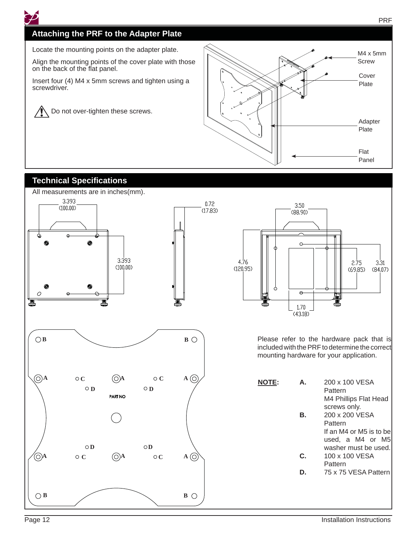

# **Attaching the PRF to the Adapter Plate**

Locate the mounting points on the adapter plate.

Align the mounting points of the cover plate with those on the back of the flat panel.

Insert four (4) M4 x 5mm screws and tighten using a screwdriver.

 Do not over-tighten these screws.  $\sqrt{N}$ 



# **Technical Specifications**